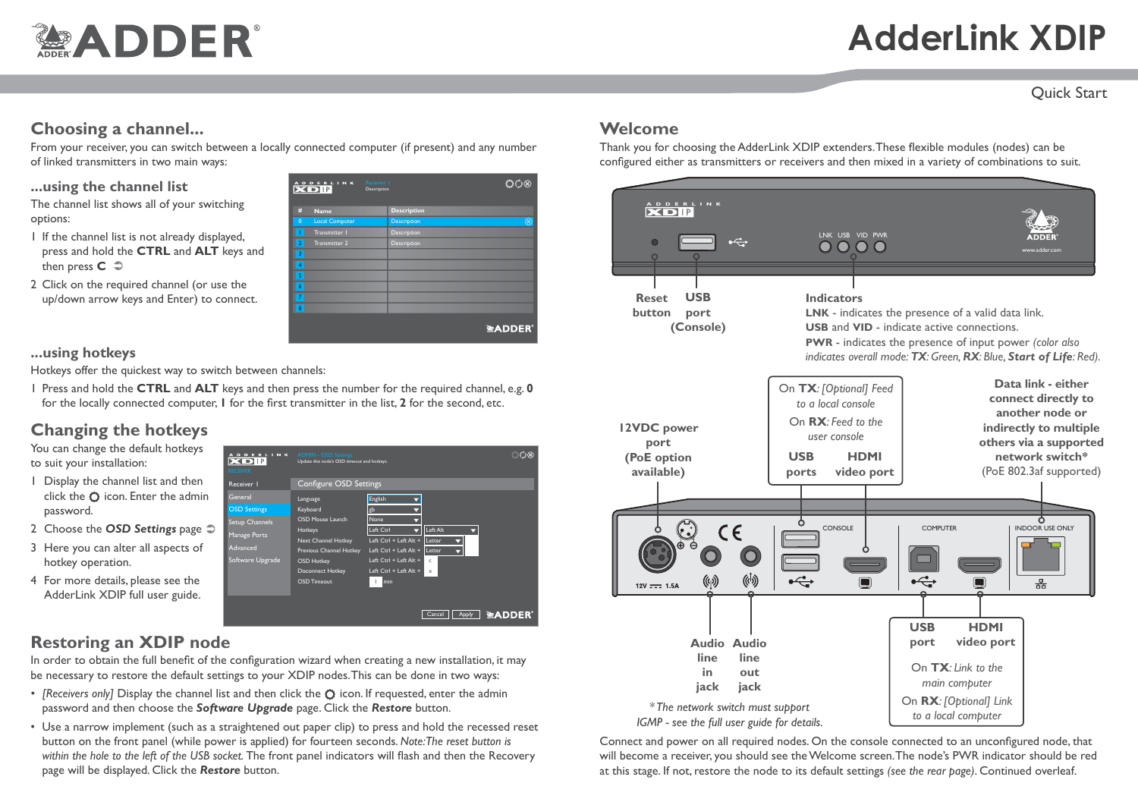# **MADDER®**

# **AdderLink XDIP**

#### Quick Start

### **Choosing a channel...**

From your receiver, you can switch between a locally connected computer (if present) and any number of linked transmitters in two main ways:

#### **...using the channel list**

The channel list shows all of your switching options:

- 1 If the channel list is not already displayed, press and hold the **CTRL** and **ALT** keys and then press **C**  $\supset$
- 2 Click on the required channel (or use the up/down arrow keys and Enter) to connect.

|                  | ADDERLINK Receiver I  |                    |
|------------------|-----------------------|--------------------|
| #                | <b>Name</b>           | <b>Description</b> |
| $\overline{0}$   | <b>Local Computer</b> | Description        |
|                  | Transmitter 1         | Description        |
| $\overline{2}$   | Transmitter 2         | Description        |
| 3                |                       |                    |
| $\overline{4}$   |                       |                    |
| 5                |                       |                    |
| $\boldsymbol{6}$ |                       |                    |
| 7                |                       |                    |
| 8                |                       |                    |
|                  |                       | <b>全ADDER</b>      |

Cancel | Apply | **EXADDER** 

്ഗ

 $\triangle$ ft  $\triangle$ l Letter Letter

c

#### **...using hotkeys**

Hotkeys offer the quickest way to switch between channels:

1 Press and hold the **CTRL** and **ALT** keys and then press the number for the required channel, e.g. **0** for the locally connected computer, **1** for the first transmitter in the list, **2** for the second, etc.

General Language

OSD Settings lanage Ports Advanced oftware Upgrade

ADDERLINK

Receiver 1 Configure OSD Settings

Update this node's OSD timeout and hotkeys.

English gb None

 $\mathbf{1}$ 

Left Ctrl + Left Alt + Left Ctrl + Left Alt +  $Left$  Ctrl + Left Alt Left Ctrl + Left Alt

Keyboard OSD Mouse Launch Hotkeys Next Channel Hotkey Previous Channel Hotkey OSD Hotke Disconnect Hotkey OSD Times

# **Changing the hotkeys**

You can change the default hotkeys to suit your installation:

- 1 Display the channel list and then click the  $\bullet$  icon. Enter the admin password.
- 2 Choose the **OSD Settings** page  $\supset$
- 3 Here you can alter all aspects of hotkey operation.
- 4 For more details, please see the AdderLink XDIP full user guide.



In order to obtain the full benefit of the configuration wizard when creating a new installation, it may be necessary to restore the default settings to your XDIP nodes. This can be done in two ways:

- *[Receivers only]* Display the channel list and then click the  $\circ$  icon. If requested, enter the admin password and then choose the *Software Upgrade* page. Click the *Restore* button.
- Use a narrow implement (such as a straightened out paper clip) to press and hold the recessed reset button on the front panel (while power is applied) for fourteen seconds. *Note:The reset button is within the hole to the left of the USB socket.* The front panel indicators will flash and then the Recovery page will be displayed. Click the *Restore* button.

## **Welcome**

Thank you for choosing the AdderLink XDIP extenders. These flexible modules (nodes) can be configured either as transmitters or receivers and then mixed in a variety of combinations to suit.



Connect and power on all required nodes. On the console connected to an unconfigured node, that will become a receiver, you should see the Welcome screen. The node's PWR indicator should be red at this stage. If not, restore the node to its default settings *(see the rear page)*. Continued overleaf.